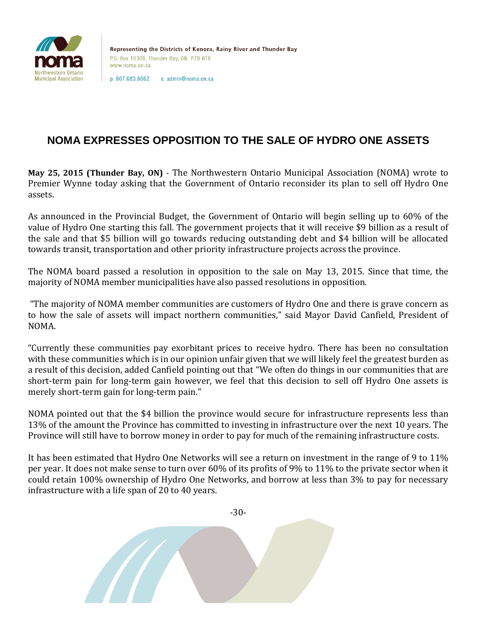

Representing the Districts of Kenora, Rainy River and Thunder Bay P.O. Box 10308. Thunder Bay, ON P7B 6T8 www.noma.on.ca

p. 807.683.6662 e. admin@noma.on.ca

## **NOMA EXPRESSES OPPOSITION TO THE SALE OF HYDRO ONE ASSETS**

**May 25, 2015 (Thunder Bay, ON)** - The Northwestern Ontario Municipal Association (NOMA) wrote to Premier Wynne today asking that the Government of Ontario reconsider its plan to sell off Hydro One assets.

As announced in the Provincial Budget, the Government of Ontario will begin selling up to 60% of the value of Hydro One starting this fall. The government projects that it will receive \$9 billion as a result of the sale and that \$5 billion will go towards reducing outstanding debt and \$4 billion will be allocated towards transit, transportation and other priority infrastructure projects across the province.

The NOMA board passed a resolution in opposition to the sale on May 13, 2015. Since that time, the majority of NOMA member municipalities have also passed resolutions in opposition.

"The majority of NOMA member communities are customers of Hydro One and there is grave concern as to how the sale of assets will impact northern communities," said Mayor David Canfield, President of NOMA.

"Currently these communities pay exorbitant prices to receive hydro. There has been no consultation with these communities which is in our opinion unfair given that we will likely feel the greatest burden as a result of this decision, added Canfield pointing out that "We often do things in our communities that are short-term pain for long-term gain however, we feel that this decision to sell off Hydro One assets is merely short-term gain for long-term pain."

NOMA pointed out that the \$4 billion the province would secure for infrastructure represents less than 13% of the amount the Province has committed to investing in infrastructure over the next 10 years. The Province will still have to borrow money in order to pay for much of the remaining infrastructure costs.

It has been estimated that Hydro One Networks will see a return on investment in the range of 9 to 11% per year. It does not make sense to turn over 60% of its profits of 9% to 11% to the private sector when it could retain 100% ownership of Hydro One Networks, and borrow at less than 3% to pay for necessary infrastructure with a life span of 20 to 40 years.

-30-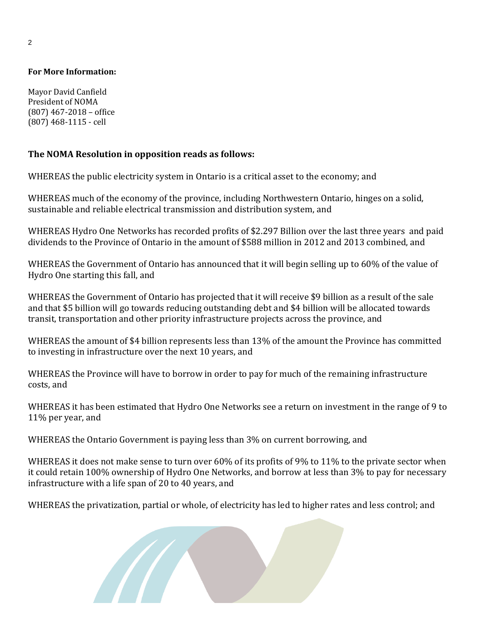## **For More Information:**

Mayor David Canfield President of NOMA (807) 467-2018 – office (807) 468-1115 - cell

## **The NOMA Resolution in opposition reads as follows:**

WHEREAS the public electricity system in Ontario is a critical asset to the economy; and

WHEREAS much of the economy of the province, including Northwestern Ontario, hinges on a solid, sustainable and reliable electrical transmission and distribution system, and

WHEREAS Hydro One Networks has recorded profits of \$2.297 Billion over the last three years and paid dividends to the Province of Ontario in the amount of \$588 million in 2012 and 2013 combined, and

WHEREAS the Government of Ontario has announced that it will begin selling up to 60% of the value of Hydro One starting this fall, and

WHEREAS the Government of Ontario has projected that it will receive \$9 billion as a result of the sale and that \$5 billion will go towards reducing outstanding debt and \$4 billion will be allocated towards transit, transportation and other priority infrastructure projects across the province, and

WHEREAS the amount of \$4 billion represents less than 13% of the amount the Province has committed to investing in infrastructure over the next 10 years, and

WHEREAS the Province will have to borrow in order to pay for much of the remaining infrastructure costs, and

WHEREAS it has been estimated that Hydro One Networks see a return on investment in the range of 9 to 11% per year, and

WHEREAS the Ontario Government is paying less than 3% on current borrowing, and

WHEREAS it does not make sense to turn over 60% of its profits of 9% to 11% to the private sector when it could retain 100% ownership of Hydro One Networks, and borrow at less than 3% to pay for necessary infrastructure with a life span of 20 to 40 years, and

WHEREAS the privatization, partial or whole, of electricity has led to higher rates and less control; and